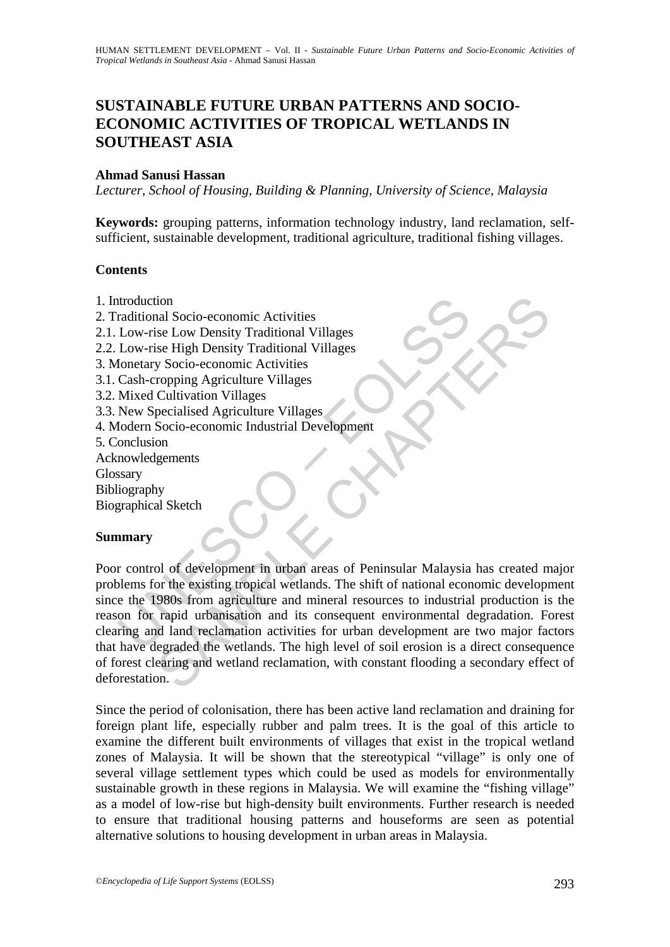# **SUSTAINABLE FUTURE URBAN PATTERNS AND SOCIO-ECONOMIC ACTIVITIES OF TROPICAL WETLANDS IN SOUTHEAST ASIA**

### **Ahmad Sanusi Hassan**

*Lecturer, School of Housing, Building & Planning, University of Science, Malaysia* 

**Keywords:** grouping patterns, information technology industry, land reclamation, selfsufficient, sustainable development, traditional agriculture, traditional fishing villages.

#### **Contents**

- 1. Introduction
- 2. Traditional Socio-economic Activities
- 2.1. Low-rise Low Density Traditional Villages
- 2.2. Low-rise High Density Traditional Villages
- 3. Monetary Socio-economic Activities
- 3.1. Cash-cropping Agriculture Villages
- 3.2. Mixed Cultivation Villages
- 3.3. New Specialised Agriculture Villages
- 4. Modern Socio-economic Industrial Development
- 5. Conclusion
- Acknowledgements
- Glossary
- Bibliography
- Biographical Sketch

### **Summary**

troduction<br>
Traditional Socio-economic Activities<br>
Low-rise Eugh Density Traditional Villages<br>
Low-rise High Density Traditional Villages<br>
Constanty Socio-economic Activities<br>
Cash-cropping Agriculture Villages<br>
Mixed Cult The Sacro Control Control Control Control Control Control Control Control Control Control Control Control Control Control Control Control Control Control Control Control Control Control Control Control Control Control Cont Poor control of development in urban areas of Peninsular Malaysia has created major problems for the existing tropical wetlands. The shift of national economic development since the 1980s from agriculture and mineral resources to industrial production is the reason for rapid urbanisation and its consequent environmental degradation. Forest clearing and land reclamation activities for urban development are two major factors that have degraded the wetlands. The high level of soil erosion is a direct consequence of forest clearing and wetland reclamation, with constant flooding a secondary effect of deforestation.

Since the period of colonisation, there has been active land reclamation and draining for foreign plant life, especially rubber and palm trees. It is the goal of this article to examine the different built environments of villages that exist in the tropical wetland zones of Malaysia. It will be shown that the stereotypical "village" is only one of several village settlement types which could be used as models for environmentally sustainable growth in these regions in Malaysia. We will examine the "fishing village" as a model of low-rise but high-density built environments. Further research is needed to ensure that traditional housing patterns and houseforms are seen as potential alternative solutions to housing development in urban areas in Malaysia.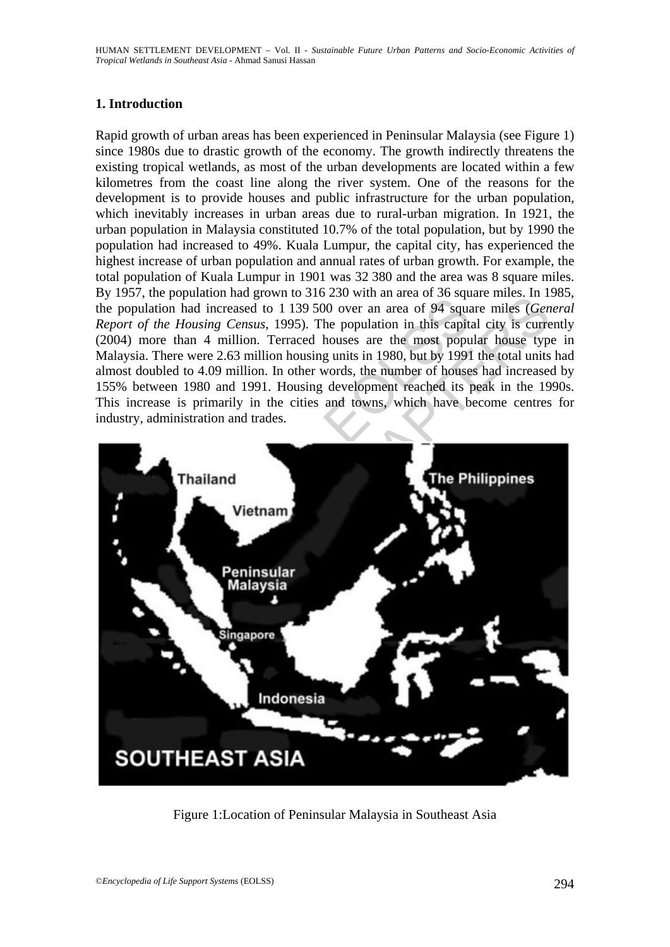### **1. Introduction**

Rapid growth of urban areas has been experienced in Peninsular Malaysia (see Figure 1) since 1980s due to drastic growth of the economy. The growth indirectly threatens the existing tropical wetlands, as most of the urban developments are located within a few kilometres from the coast line along the river system. One of the reasons for the development is to provide houses and public infrastructure for the urban population, which inevitably increases in urban areas due to rural-urban migration. In 1921, the urban population in Malaysia constituted 10.7% of the total population, but by 1990 the population had increased to 49%. Kuala Lumpur, the capital city, has experienced the highest increase of urban population and annual rates of urban growth. For example, the total population of Kuala Lumpur in 1901 was 32 380 and the area was 8 square miles. By 1957, the population had grown to 316 230 with an area of 36 square miles. In 1985, the population had increased to 1 139 500 over an area of 94 square miles (*General Report of the Housing Census*, 1995). The population in this capital city is currently (2004) more than 4 million. Terraced houses are the most popular house type in Malaysia. There were 2.63 million housing units in 1980, but by 1991 the total units had almost doubled to 4.09 million. In other words, the number of houses had increased by 155% between 1980 and 1991. Housing development reached its peak in the 1990s. This increase is primarily in the cities and towns, which have become centres for industry, administration and trades.



Figure 1:Location of Peninsular Malaysia in Southeast Asia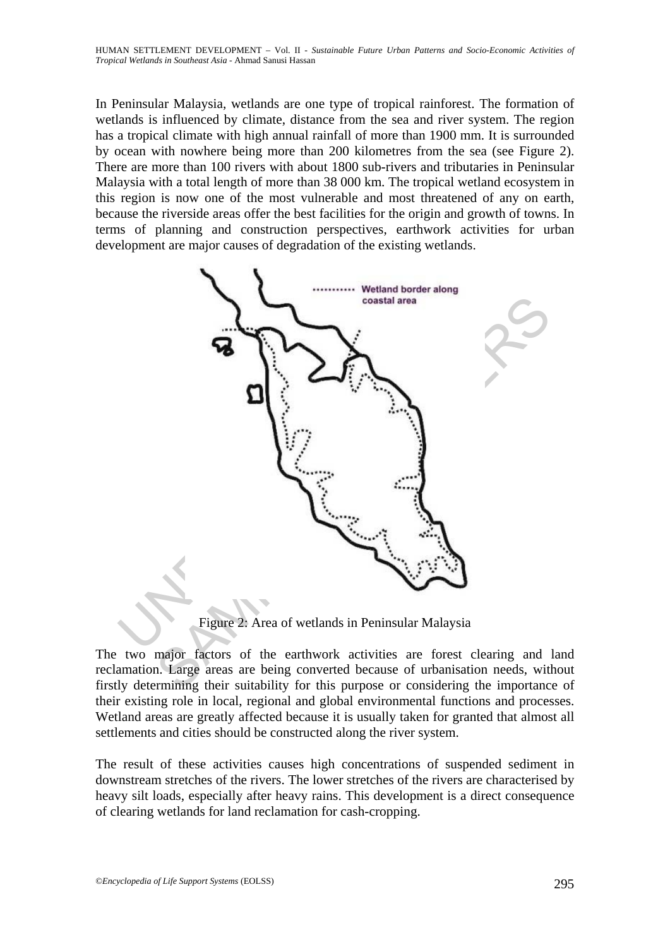In Peninsular Malaysia, wetlands are one type of tropical rainforest. The formation of wetlands is influenced by climate, distance from the sea and river system. The region has a tropical climate with high annual rainfall of more than 1900 mm. It is surrounded by ocean with nowhere being more than 200 kilometres from the sea (see Figure 2). There are more than 100 rivers with about 1800 sub-rivers and tributaries in Peninsular Malaysia with a total length of more than 38 000 km. The tropical wetland ecosystem in this region is now one of the most vulnerable and most threatened of any on earth, because the riverside areas offer the best facilities for the origin and growth of towns. In terms of planning and construction perspectives, earthwork activities for urban development are major causes of degradation of the existing wetlands.



Figure 2: Area of wetlands in Peninsular Malaysia

The two major factors of the earthwork activities are forest clearing and land reclamation. Large areas are being converted because of urbanisation needs, without firstly determining their suitability for this purpose or considering the importance of their existing role in local, regional and global environmental functions and processes. Wetland areas are greatly affected because it is usually taken for granted that almost all settlements and cities should be constructed along the river system.

The result of these activities causes high concentrations of suspended sediment in downstream stretches of the rivers. The lower stretches of the rivers are characterised by heavy silt loads, especially after heavy rains. This development is a direct consequence of clearing wetlands for land reclamation for cash-cropping.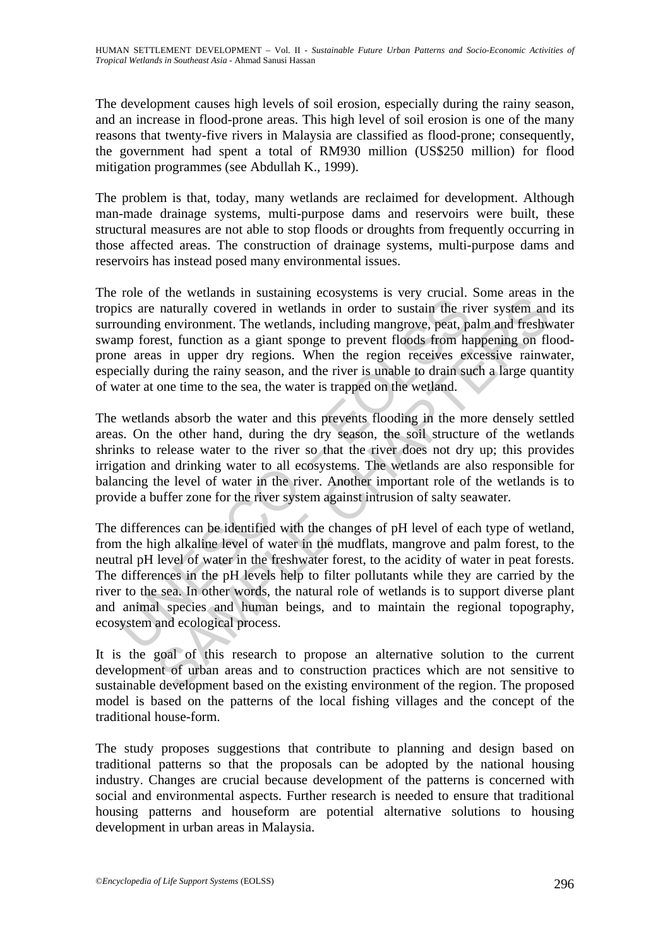The development causes high levels of soil erosion, especially during the rainy season, and an increase in flood-prone areas. This high level of soil erosion is one of the many reasons that twenty-five rivers in Malaysia are classified as flood-prone; consequently, the government had spent a total of RM930 million (US\$250 million) for flood mitigation programmes (see Abdullah K., 1999).

The problem is that, today, many wetlands are reclaimed for development. Although man-made drainage systems, multi-purpose dams and reservoirs were built, these structural measures are not able to stop floods or droughts from frequently occurring in those affected areas. The construction of drainage systems, multi-purpose dams and reservoirs has instead posed many environmental issues.

The role of the wetlands in sustaining ecosystems is very crucial. Some areas in the tropics are naturally covered in wetlands in order to sustain the river system and its surrounding environment. The wetlands, including mangrove, peat, palm and freshwater swamp forest, function as a giant sponge to prevent floods from happening on floodprone areas in upper dry regions. When the region receives excessive rainwater, especially during the rainy season, and the river is unable to drain such a large quantity of water at one time to the sea, the water is trapped on the wetland.

The wetlands absorb the water and this prevents flooding in the more densely settled areas. On the other hand, during the dry season, the soil structure of the wetlands shrinks to release water to the river so that the river does not dry up; this provides irrigation and drinking water to all ecosystems. The wetlands are also responsible for balancing the level of water in the river. Another important role of the wetlands is to provide a buffer zone for the river system against intrusion of salty seawater.

For all worker and statisming exobysions to Forty statismic for the eric and the rise of the relative or the methods in order to sustain the rise ording environment. The wetlands, including mangrove, peat, particularly dur The wecanism stassimus consistents is very citectant. Some detail and naturally covered in wellands in order to sustain the river system and environment. The wellands, including mangrove, peat, palm and freshwest, function The differences can be identified with the changes of pH level of each type of wetland, from the high alkaline level of water in the mudflats, mangrove and palm forest, to the neutral pH level of water in the freshwater forest, to the acidity of water in peat forests. The differences in the pH levels help to filter pollutants while they are carried by the river to the sea. In other words, the natural role of wetlands is to support diverse plant and animal species and human beings, and to maintain the regional topography, ecosystem and ecological process.

It is the goal of this research to propose an alternative solution to the current development of urban areas and to construction practices which are not sensitive to sustainable development based on the existing environment of the region. The proposed model is based on the patterns of the local fishing villages and the concept of the traditional house-form.

The study proposes suggestions that contribute to planning and design based on traditional patterns so that the proposals can be adopted by the national housing industry. Changes are crucial because development of the patterns is concerned with social and environmental aspects. Further research is needed to ensure that traditional housing patterns and houseform are potential alternative solutions to housing development in urban areas in Malaysia.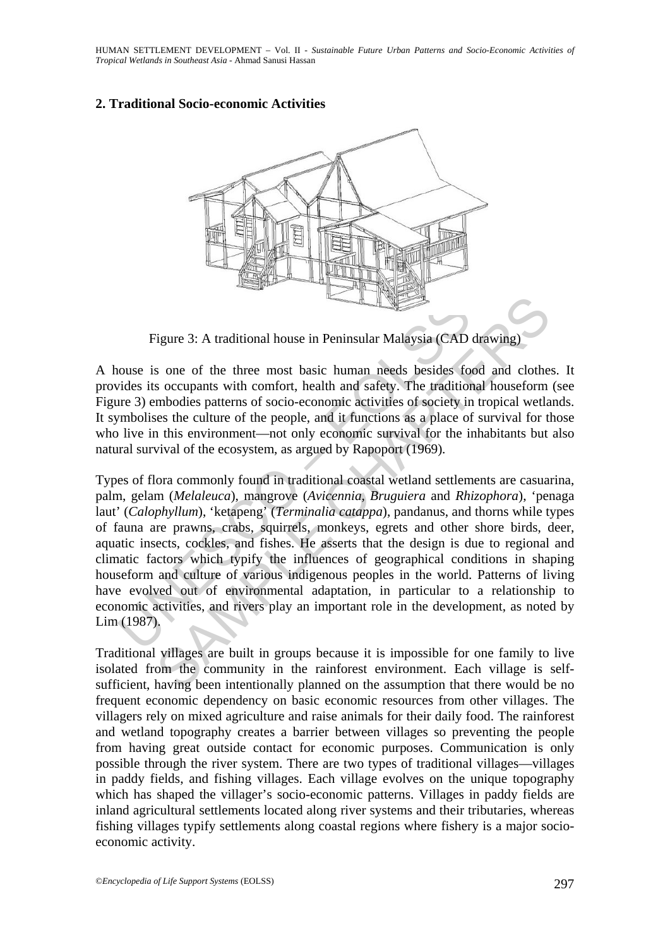HUMAN SETTLEMENT DEVELOPMENT – Vol. II - *Sustainable Future Urban Patterns and Socio-Economic Activities of Tropical Wetlands in Southeast Asia* - Ahmad Sanusi Hassan

#### **2. Traditional Socio-economic Activities**



Figure 3: A traditional house in Peninsular Malaysia (CAD drawing)

A house is one of the three most basic human needs besides food and clothes. It provides its occupants with comfort, health and safety. The traditional houseform (see Figure 3) embodies patterns of socio-economic activities of society in tropical wetlands. It symbolises the culture of the people, and it functions as a place of survival for those who live in this environment—not only economic survival for the inhabitants but also natural survival of the ecosystem, as argued by Rapoport (1969)*.* 

Figure 3: A traditional house in Peninsular Malaysia (CAD<br>couse is one of the three most basic human needs besides fo<br>vides its occupants with comfort, health and safety. The tradition<br>re 3) embodies patterns of socio-econ rigure 3: A traditional house in Peninsular Malaysia (CAD drawing)<br>some of the three most basic human needs besides food and clothe<br>soccupants with comfort, health and safety. The traditional houseform<br>mbodies patterns of Types of flora commonly found in traditional coastal wetland settlements are casuarina, palm, gelam (*Melaleuca*), mangrove (*Avicennia, Bruguiera* and *Rhizophora*), 'penaga laut' (*Calophyllum*), 'ketapeng' (*Terminalia catappa*), pandanus, and thorns while types of fauna are prawns, crabs, squirrels, monkeys, egrets and other shore birds, deer, aquatic insects, cockles, and fishes. He asserts that the design is due to regional and climatic factors which typify the influences of geographical conditions in shaping houseform and culture of various indigenous peoples in the world. Patterns of living have evolved out of environmental adaptation, in particular to a relationship to economic activities, and rivers play an important role in the development, as noted by Lim (1987).

Traditional villages are built in groups because it is impossible for one family to live isolated from the community in the rainforest environment. Each village is selfsufficient, having been intentionally planned on the assumption that there would be no frequent economic dependency on basic economic resources from other villages. The villagers rely on mixed agriculture and raise animals for their daily food. The rainforest and wetland topography creates a barrier between villages so preventing the people from having great outside contact for economic purposes. Communication is only possible through the river system. There are two types of traditional villages—villages in paddy fields, and fishing villages. Each village evolves on the unique topography which has shaped the villager's socio-economic patterns. Villages in paddy fields are inland agricultural settlements located along river systems and their tributaries, whereas fishing villages typify settlements along coastal regions where fishery is a major socioeconomic activity.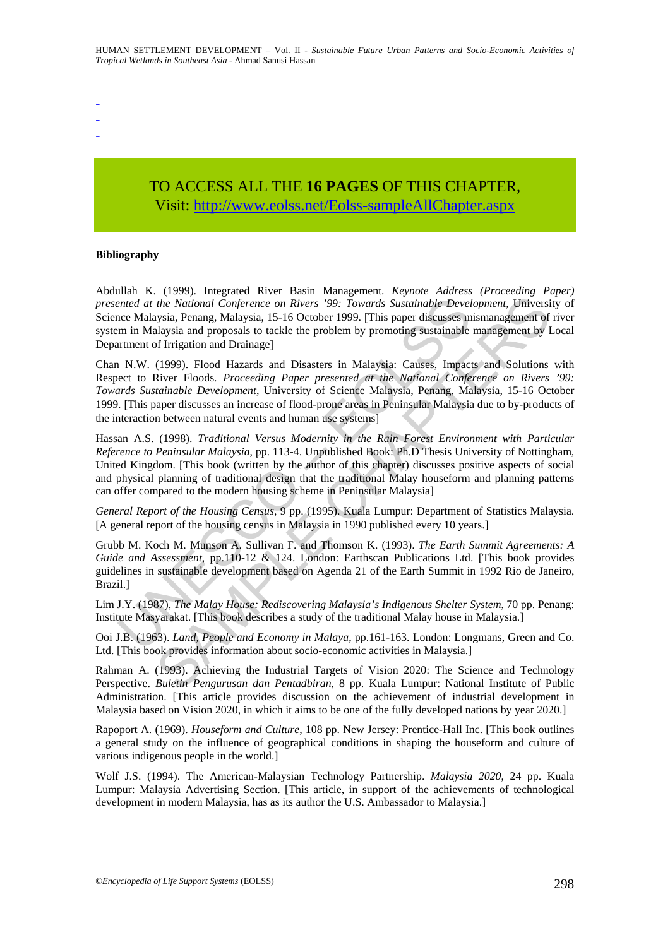- -
- -

## TO ACCESS ALL THE **16 PAGES** OF THIS CHAPTER, Visit: [http://www.eolss.net/Eolss-sampleAllChapter.aspx](https://www.eolss.net/ebooklib/sc_cart.aspx?File=E1-18-04-07)

#### **Bibliography**

Abdullah K. (1999). Integrated River Basin Management. *Keynote Address (Proceeding Paper) presented at the National Conference on Rivers '99: Towards Sustainable Development,* University of Science Malaysia, Penang, Malaysia, 15-16 October 1999. [This paper discusses mismanagement of river system in Malaysia and proposals to tackle the problem by promoting sustainable management by Local Department of Irrigation and Drainage]

ented at the National Conference on Rivers '99: Towards Sustainable Devel<br>conce Malaysia, Penang, Malaysia, 15-16 October 1999. [This paper discusses m<br>m in Malaysia and proposals to tackle the problem by promoting sustain The National Conference on Rivers '99: Towards Sustainable Development, Universis<br>the National Conference on Rivers '99: Towards Sustainable Development, Universis<br>in Penalisyaia, Penang, Malaysia, 15-16 October 1999. [Thi Chan N.W. (1999). Flood Hazards and Disasters in Malaysia: Causes, Impacts and Solutions with Respect to River Floods. *Proceeding Paper presented at the National Conference on Rivers '99: Towards Sustainable Development*, University of Science Malaysia, Penang, Malaysia, 15-16 October 1999. [This paper discusses an increase of flood-prone areas in Peninsular Malaysia due to by-products of the interaction between natural events and human use systems]

Hassan A.S. (1998). *Traditional Versus Modernity in the Rain Forest Environment with Particular Reference to Peninsular Malaysia*, pp. 113-4. Unpublished Book: Ph.D Thesis University of Nottingham, United Kingdom. [This book (written by the author of this chapter) discusses positive aspects of social and physical planning of traditional design that the traditional Malay houseform and planning patterns can offer compared to the modern housing scheme in Peninsular Malaysia]

*General Report of the Housing Census*, 9 pp. (1995). Kuala Lumpur: Department of Statistics Malaysia. [A general report of the housing census in Malaysia in 1990 published every 10 years.]

Grubb M. Koch M. Munson A. Sullivan F. and Thomson K. (1993). *The Earth Summit Agreements: A Guide and Assessment*, pp.110-12 & 124. London: Earthscan Publications Ltd. [This book provides guidelines in sustainable development based on Agenda 21 of the Earth Summit in 1992 Rio de Janeiro, Brazil.]

Lim J.Y. (1987), *The Malay House: Rediscovering Malaysia's Indigenous Shelter System*, 70 pp. Penang: Institute Masyarakat. [This book describes a study of the traditional Malay house in Malaysia.]

Ooi J.B. (1963). *Land, People and Economy in Malaya*, pp.161-163. London: Longmans, Green and Co. Ltd. [This book provides information about socio-economic activities in Malaysia.]

Rahman A. (1993). Achieving the Industrial Targets of Vision 2020: The Science and Technology Perspective. *Buletin Pengurusan dan Pentadbiran*, 8 pp. Kuala Lumpur: National Institute of Public Administration. [This article provides discussion on the achievement of industrial development in Malaysia based on Vision 2020, in which it aims to be one of the fully developed nations by year 2020.]

Rapoport A. (1969). *Houseform and Culture*, 108 pp. New Jersey: Prentice-Hall Inc. [This book outlines a general study on the influence of geographical conditions in shaping the houseform and culture of various indigenous people in the world.]

Wolf J.S. (1994). The American-Malaysian Technology Partnership. *Malaysia 2020*, 24 pp. Kuala Lumpur: Malaysia Advertising Section. [This article, in support of the achievements of technological development in modern Malaysia, has as its author the U.S. Ambassador to Malaysia.]